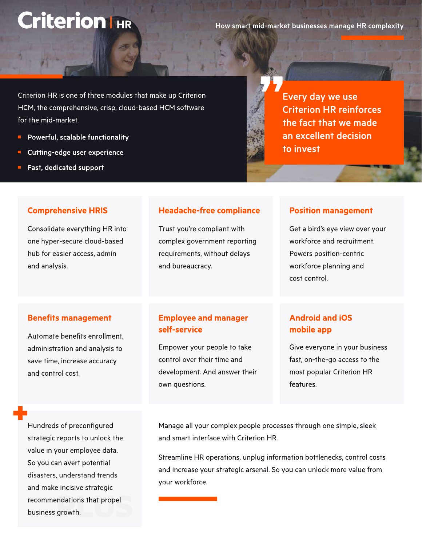# Criterion I HR

How smart mid-market businesses manage HR complexity

Criterion HR is one of three modules that make up Criterion HCM, the comprehensive, crisp, cloud-based HCM software for the mid-market.

- Powerful, scalable functionality  $\blacksquare$
- Cutting-edge user experience
- Fast, dedicated support

Every day we use Criterion HR reinforces the fact that we made an excellent decision to invest

## Comprehensive HRIS

Consolidate everything HR into one hyper-secure cloud-based hub for easier access, admin and analysis.

## Headache-free compliance

Trust you're compliant with complex government reporting requirements, without delays and bureaucracy.

#### Position management

Get a bird's eye view over your workforce and recruitment. Powers position-centric workforce planning and cost control.

## Benefits management

Automate benefits enrollment, administration and analysis to save time, increase accuracy and control cost.

## Employee and manager self-service

Empower your people to take control over their time and development. And answer their own questions.

# Android and iOS mobile app

Give everyone in your business fast, on-the-go access to the most popular Criterion HR features.

Hundreds of preconfigured strategic reports to unlock the value in your employee data. So you can avert potential disasters, understand trends and make incisive strategic recommendations that propel business growth.

Manage all your complex people processes through one simple, sleek and smart interface with Criterion HR.

Streamline HR operations, unplug information bottlenecks, control costs and increase your strategic arsenal. So you can unlock more value from your workforce.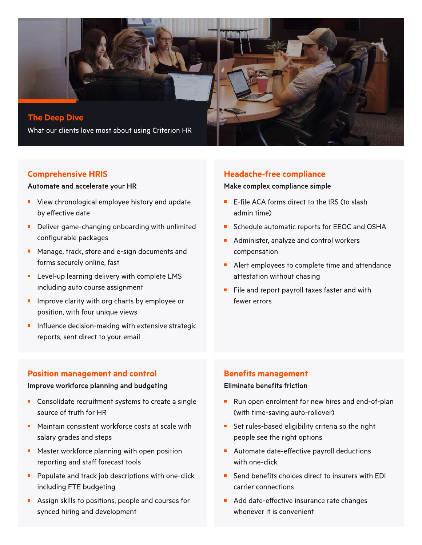

## Comprehensive HRIS

#### Automate and accelerate your HR

- **U** View chronological employee history and update by effective date
- Deliver game-changing onboarding with unlimited configurable packages
- **Manage, track, store and e-sign documents and** forms securely online, fast
- **E** Level-up learning delivery with complete LMS including auto course assignment
- $\blacksquare$  Improve clarity with org charts by employee or position, with four unique views
- Influence decision-making with extensive strategic reports, sent direct to your email

## Headache-free compliance

## Make complex compliance simple

- $\blacksquare$ E-file ACA forms direct to the IRS (to slash admin time)
- Schedule automatic reports for EEOC and OSHA  $\blacksquare$
- Administer, analyze and control workers compensation
- Alert employees to complete time and attendance attestation without chasing
- File and report payroll taxes faster and with fewer errors

#### Position management and control

#### Improve workforce planning and budgeting

- Consolidate recruitment systems to create a single source of truth for HR
- Maintain consistent workforce costs at scale with salary grades and steps
- Master workforce planning with open position reporting and staff forecast tools
- **Populate and track job descriptions with one-click** including FTE budgeting
- Assign skills to positions, people and courses for synced hiring and development

#### Benefits management

#### Eliminate benefits friction

- Run open enrolment for new hires and end-of-plan (with time-saving auto-rollover)
- Set rules-based eligibility criteria so the right people see the right options
- Automate date-effective payroll deductions with one-click
- Send benefits choices direct to insurers with EDI carrier connections
- Add date-effective insurance rate changes whenever it is convenient